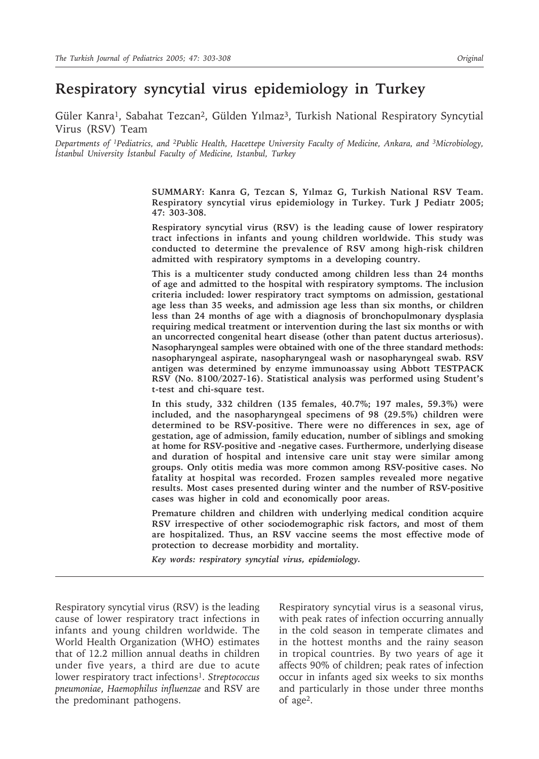# **Respiratory syncytial virus epidemiology in Turkey**

Güler Kanra<sup>1</sup>, Sabahat Tezcan<sup>2</sup>, Gülden Yılmaz<sup>3</sup>, Turkish National Respiratory Syncytial Virus (RSV) Team

*Departments of 1Pediatrics, and 2Public Health, Hacettepe University Faculty of Medicine, Ankara, and 3Microbiology, İstanbul University İstanbul Faculty of Medicine, Istanbul, Turkey*

> **SUMMARY: Kanra G, Tezcan S, Yılmaz G, Turkish National RSV Team. Respiratory syncytial virus epidemiology in Turkey. Turk J Pediatr 2005; 47: 303-308.**

> **Respiratory syncytial virus (RSV) is the leading cause of lower respiratory tract infections in infants and young children worldwide. This study was conducted to determine the prevalence of RSV among high-risk children admitted with respiratory symptoms in a developing country.**

> **This is a multicenter study conducted among children less than 24 months of age and admitted to the hospital with respiratory symptoms. The inclusion criteria included: lower respiratory tract symptoms on admission, gestational age less than 35 weeks, and admission age less than six months, or children less than 24 months of age with a diagnosis of bronchopulmonary dysplasia requiring medical treatment or intervention during the last six months or with an uncorrected congenital heart disease (other than patent ductus arteriosus). Nasopharyngeal samples were obtained with one of the three standard methods: nasopharyngeal aspirate, nasopharyngeal wash or nasopharyngeal swab. RSV antigen was determined by enzyme immunoassay using Abbott TESTPACK RSV (No. 8100/2027-16). Statistical analysis was performed using Student's t-test and chi-square test.**

> **In this study, 332 children (135 females, 40.7%; 197 males, 59.3%) were included, and the nasopharyngeal specimens of 98 (29.5%) children were determined to be RSV-positive. There were no differences in sex, age of gestation, age of admission, family education, number of siblings and smoking at home for RSV-positive and -negative cases. Furthermore, underlying disease and duration of hospital and intensive care unit stay were similar among groups. Only otitis media was more common among RSV-positive cases. No fatality at hospital was recorded. Frozen samples revealed more negative results. Most cases presented during winter and the number of RSV-positive cases was higher in cold and economically poor areas.**

> **Premature children and children with underlying medical condition acquire RSV irrespective of other sociodemographic risk factors, and most of them are hospitalized. Thus, an RSV vaccine seems the most effective mode of protection to decrease morbidity and mortality.**

*Key words: respiratory syncytial virus, epidemiology.*

Respiratory syncytial virus (RSV) is the leading cause of lower respiratory tract infections in infants and young children worldwide. The World Health Organization (WHO) estimates that of 12.2 million annual deaths in children under five years, a third are due to acute lower respiratory tract infections<sup>1</sup>. *Streptococcus pneumoniae*, *Haemophilus influenzae* and RSV are the predominant pathogens.

Respiratory syncytial virus is a seasonal virus, with peak rates of infection occurring annually in the cold season in temperate climates and in the hottest months and the rainy season in tropical countries. By two years of age it affects 90% of children; peak rates of infection occur in infants aged six weeks to six months and particularly in those under three months of age2.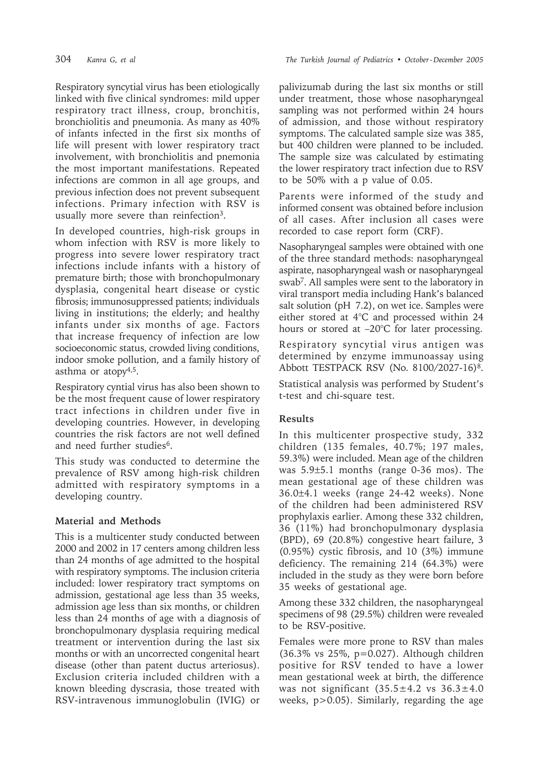Respiratory syncytial virus has been etiologically linked with five clinical syndromes: mild upper respiratory tract illness, croup, bronchitis, bronchiolitis and pneumonia. As many as 40% of infants infected in the first six months of life will present with lower respiratory tract involvement, with bronchiolitis and pnemonia the most important manifestations. Repeated infections are common in all age groups, and previous infection does not prevent subsequent infections. Primary infection with RSV is usually more severe than reinfection3.

In developed countries, high-risk groups in whom infection with RSV is more likely to progress into severe lower respiratory tract infections include infants with a history of premature birth; those with bronchopulmonary dysplasia, congenital heart disease or cystic fibrosis; immunosuppressed patients; individuals living in institutions; the elderly; and healthy infants under six months of age. Factors that increase frequency of infection are low socioeconomic status, crowded living conditions, indoor smoke pollution, and a family history of asthma or atopy<sup>4,5</sup>.

Respiratory cyntial virus has also been shown to be the most frequent cause of lower respiratory tract infections in children under five in developing countries. However, in developing countries the risk factors are not well defined and need further studies<sup>6</sup>.

This study was conducted to determine the prevalence of RSV among high-risk children admitted with respiratory symptoms in a developing country.

# **Material and Methods**

This is a multicenter study conducted between 2000 and 2002 in 17 centers among children less than 24 months of age admitted to the hospital with respiratory symptoms. The inclusion criteria included: lower respiratory tract symptoms on admission, gestational age less than 35 weeks, admission age less than six months, or children less than 24 months of age with a diagnosis of bronchopulmonary dysplasia requiring medical treatment or intervention during the last six months or with an uncorrected congenital heart disease (other than patent ductus arteriosus). Exclusion criteria included children with a known bleeding dyscrasia, those treated with RSV-intravenous immunoglobulin (IVIG) or

palivizumab during the last six months or still under treatment, those whose nasopharyngeal sampling was not performed within 24 hours of admission, and those without respiratory symptoms. The calculated sample size was 385, but 400 children were planned to be included. The sample size was calculated by estimating the lower respiratory tract infection due to RSV to be 50% with a p value of 0.05.

Parents were informed of the study and informed consent was obtained before inclusion of all cases. After inclusion all cases were recorded to case report form (CRF).

Nasopharyngeal samples were obtained with one of the three standard methods: nasopharyngeal aspirate, nasopharyngeal wash or nasopharyngeal swab7. All samples were sent to the laboratory in viral transport media including Hank's balanced salt solution (pH 7.2), on wet ice. Samples were either stored at 4°C and processed within 24 hours or stored at –20°C for later processing.

Respiratory syncytial virus antigen was determined by enzyme immunoassay using Abbott TESTPACK RSV (No. 8100/2027-16)8.

Statistical analysis was performed by Student's t-test and chi-square test.

# **Results**

In this multicenter prospective study, 332 children (135 females, 40.7%; 197 males, 59.3%) were included. Mean age of the children was 5.9±5.1 months (range 0-36 mos). The mean gestational age of these children was 36.0±4.1 weeks (range 24-42 weeks). None of the children had been administered RSV prophylaxis earlier. Among these 332 children, 36 (11%) had bronchopulmonary dysplasia (BPD), 69 (20.8%) congestive heart failure, 3 (0.95%) cystic fibrosis, and 10 (3%) immune deficiency. The remaining 214 (64.3%) were included in the study as they were born before 35 weeks of gestational age.

Among these 332 children, the nasopharyngeal specimens of 98 (29.5%) children were revealed to be RSV-positive.

Females were more prone to RSV than males (36.3% vs 25%, p=0.027). Although children positive for RSV tended to have a lower mean gestational week at birth, the difference was not significant  $(35.5 \pm 4.2 \text{ vs } 36.3 \pm 4.0$ weeks, p>0.05). Similarly, regarding the age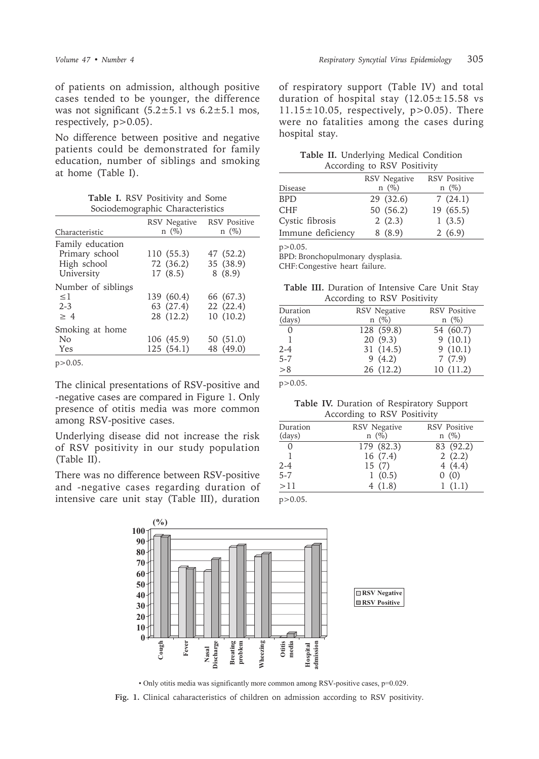of patients on admission, although positive cases tended to be younger, the difference was not significant  $(5.2 \pm 5.1 \text{ vs } 6.2 \pm 5.1 \text{ mos})$ respectively,  $p > 0.05$ ).

No difference between positive and negative patients could be demonstrated for family education, number of siblings and smoking at home (Table I).

Table I. RSV Positivity and Some Sociodemographic Characteristics

|                                    | <b>RSV</b> Negative | <b>RSV</b> Positive |
|------------------------------------|---------------------|---------------------|
| Characteristic                     | $n \ (\%)$          | $n \ (\%)$          |
| Family education<br>Primary school | 110 (55.3)          | 47 (52.2)           |
| High school                        | 72 (36.2)           | 35 (38.9)           |
| University                         | 17(8.5)             | 8(8.9)              |
| Number of siblings                 |                     |                     |
| $\leq$ 1                           | 139 (60.4)          | 66 (67.3)           |
| $2 - 3$                            | 63 (27.4)           | 22 (22.4)           |
| >4                                 | 28 (12.2)           | 10(10.2)            |
| Smoking at home                    |                     |                     |
| No                                 | 106 (45.9)          | 50 (51.0)           |
| Yes                                | 125 (54.1)          | 48 (49.0)           |
| $\sim$ $\sim$ $\sim$               |                     |                     |

 $p > 0.05$ .

The clinical presentations of RSV-positive and -negative cases are compared in Figure 1. Only presence of otitis media was more common among RSV-positive cases.

Underlying disease did not increase the risk of RSV positivity in our study population (Table II).

There was no difference between RSV-positive and -negative cases regarding duration of intensive care unit stay (Table III), duration

of respiratory support (Table IV) and total duration of hospital stay  $(12.05 \pm 15.58 \text{ vs }$  $11.15 \pm 10.05$ , respectively, p>0.05). There were no fatalities among the cases during hospital stay.

|  |                             |  | Table II. Underlying Medical Condition |
|--|-----------------------------|--|----------------------------------------|
|  | According to RSV Positivity |  |                                        |

|                   | <b>RSV</b> Negative | <b>RSV</b> Positive |
|-------------------|---------------------|---------------------|
| Disease           | $n \ (\%)$          | $n \ (\%)$          |
| <b>BPD</b>        | 29 (32.6)           | 7(24.1)             |
| <b>CHF</b>        | 50 (56.2)           | 19 (65.5)           |
| Cystic fibrosis   | 2(2.3)              | 1(3.5)              |
| Immune deficiency | 8(8.9)              | 2(6.9)              |
|                   |                     |                     |

 $p > 0.05$ .

BPD: Bronchopulmonary dysplasia.

CHF: Congestive heart failure.

Table III. Duration of Intensive Care Unit Stay According to RSV Positivity

| Duration | <b>RSV</b> Negative | <b>RSV</b> Positive |
|----------|---------------------|---------------------|
| (days)   | $n \ (\%)$          | $n \ (\%)$          |
|          | 128 (59.8)          | 54 (60.7)           |
|          | 20(9.3)             | 9(10.1)             |
| 2-4      | 31 (14.5)           | 9(10.1)             |
| 5-7      | 9(4.2)              | 7(7.9)              |
| > 8      | 26 (12.2)           | 10(11.2)            |
|          |                     |                     |

 $p > 0.05$ .

Table IV. Duration of Respiratory Support According to RSV Positivity

| Duration | <b>RSV</b> Negative | <b>RSV</b> Positive |
|----------|---------------------|---------------------|
| (days)   | $n \ (\%)$          | $n \ (\%)$          |
| $\Omega$ | 179 (82.3)          | 83 (92.2)           |
|          | 16(7.4)             | 2(2.2)              |
| $2 - 4$  | 15(7)               | 4(4.4)              |
| $5 - 7$  | 1(0.5)              | 0(0)                |
| >11      | 4(1.8)              | 1(1.1)              |

 $p > 0.05$ .



· Only otitis media was significantly more common among RSV-positive cases, p=0.029.

Fig. 1. Clinical caharacteristics of children on admission according to RSV positivity.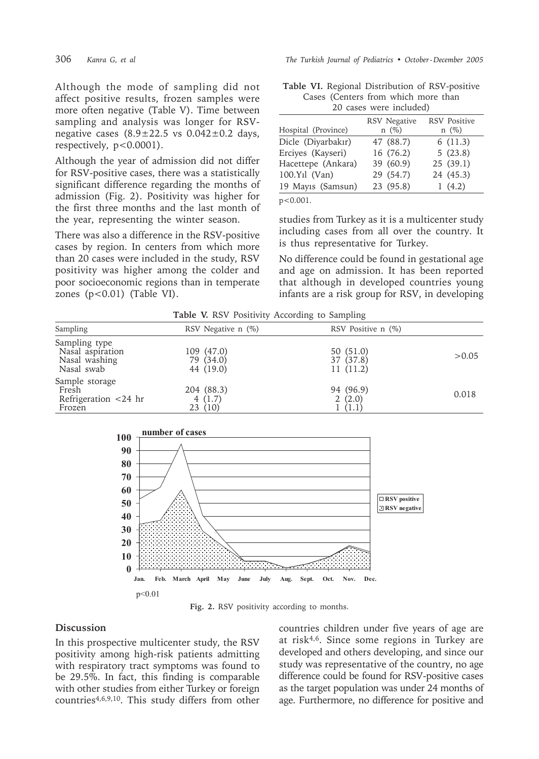Although the mode of sampling did not affect positive results, frozen samples were more often negative (Table V). Time between sampling and analysis was longer for RSVnegative cases  $(8.9 \pm 22.5 \text{ vs } 0.042 \pm 0.2 \text{ days})$ respectively, p<0.0001).

Although the year of admission did not differ for RSV-positive cases, there was a statistically significant difference regarding the months of admission (Fig. 2). Positivity was higher for the first three months and the last month of the year, representing the winter season.

There was also a difference in the RSV-positive cases by region. In centers from which more than 20 cases were included in the study, RSV positivity was higher among the colder and poor socioeconomic regions than in temperate zones  $(p<0.01)$  (Table VI).

The Turkish Journal of Pediatrics • October-December 2005

| <b>Table VI.</b> Regional Distribution of RSV-positive |                                     |  |  |
|--------------------------------------------------------|-------------------------------------|--|--|
|                                                        | Cases (Centers from which more than |  |  |
|                                                        | 20 cases were included)             |  |  |

| Hospital (Province) | <b>RSV</b> Negative<br>$n \ (\%)$ | <b>RSV Positive</b><br>$n(\%)$ |
|---------------------|-----------------------------------|--------------------------------|
| Dicle (Diyarbakır)  | 47 (88.7)                         | 6(11.3)                        |
| Erciyes (Kayseri)   | 16 (76.2)                         | 5(23.8)                        |
| Hacettepe (Ankara)  | 39 (60.9)                         | 25(39.1)                       |
| $100.Y1$ (Van)      | 29 (54.7)                         | 24 (45.3)                      |
| 19 Mayıs (Samsun)   | 23 (95.8)                         | 1(4.2)                         |
| n<0.001             |                                   |                                |

studies from Turkey as it is a multicenter study including cases from all over the country. It is thus representative for Turkey.

No difference could be found in gestational age and age on admission. It has been reported that although in developed countries young infants are a risk group for RSV, in developing

Table V. RSV Positivity According to Sampling

|                                                                  |                                      | $\cdot$                            |        |
|------------------------------------------------------------------|--------------------------------------|------------------------------------|--------|
| Sampling                                                         | RSV Negative $n$ $(\%)$              | RSV Positive $n$ $(\%)$            |        |
| Sampling type<br>Nasal aspiration<br>Nasal washing<br>Nasal swab | 109 (47.0)<br>79 (34.0)<br>44 (19.0) | 50(51.0)<br>37 (37.8)<br>11 (11.2) | > 0.05 |
| Sample storage<br>Fresh<br>Refrigeration $<$ 24 hr<br>Frozen     | 204 (88.3)<br>4 $(1.7)$<br>23(10)    | 94 (96.9)<br>2(2.0)<br>(1.1)       | 0.018  |



Fig. 2. RSV positivity according to months.

### Discussion

In this prospective multicenter study, the RSV positivity among high-risk patients admitting with respiratory tract symptoms was found to be 29.5%. In fact, this finding is comparable with other studies from either Turkey or foreign countries<sup>4,6,9,10</sup>. This study differs from other countries children under five years of age are at risk<sup>4,6</sup>. Since some regions in Turkey are developed and others developing, and since our study was representative of the country, no age difference could be found for RSV-positive cases as the target population was under 24 months of age. Furthermore, no difference for positive and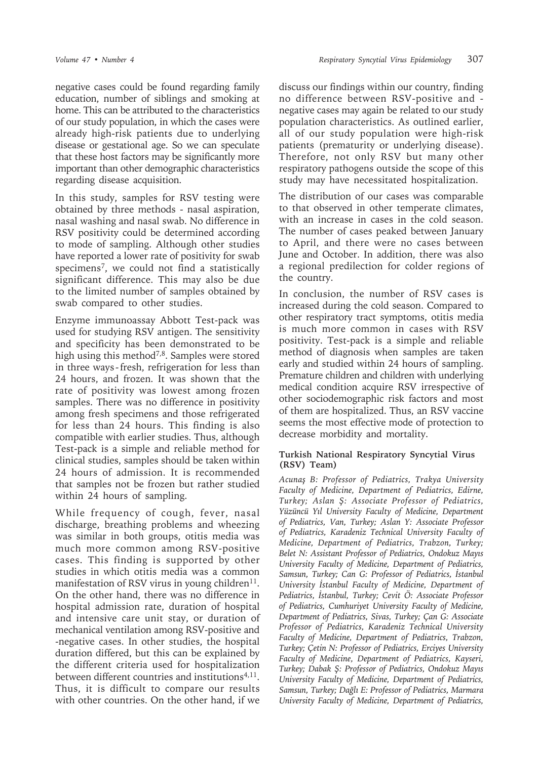negative cases could be found regarding family education, number of siblings and smoking at home. This can be attributed to the characteristics of our study population, in which the cases were already high-risk patients due to underlying disease or gestational age. So we can speculate that these host factors may be significantly more important than other demographic characteristics regarding disease acquisition.

In this study, samples for RSV testing were obtained by three methods - nasal aspiration, nasal washing and nasal swab. No difference in RSV positivity could be determined according to mode of sampling. Although other studies have reported a lower rate of positivity for swab specimens7, we could not find a statistically significant difference. This may also be due to the limited number of samples obtained by swab compared to other studies.

Enzyme immunoassay Abbott Test-pack was used for studying RSV antigen. The sensitivity and specificity has been demonstrated to be high using this method<sup>7,8</sup>. Samples were stored in three ways - fresh, refrigeration for less than 24 hours, and frozen. It was shown that the rate of positivity was lowest among frozen samples. There was no difference in positivity among fresh specimens and those refrigerated for less than 24 hours. This finding is also compatible with earlier studies. Thus, although Test-pack is a simple and reliable method for clinical studies, samples should be taken within 24 hours of admission. It is recommended that samples not be frozen but rather studied within 24 hours of sampling.

While frequency of cough, fever, nasal discharge, breathing problems and wheezing was similar in both groups, otitis media was much more common among RSV-positive cases. This finding is supported by other studies in which otitis media was a common manifestation of RSV virus in young children<sup>11</sup>. On the other hand, there was no difference in hospital admission rate, duration of hospital and intensive care unit stay, or duration of mechanical ventilation among RSV-positive and -negative cases. In other studies, the hospital duration differed, but this can be explained by the different criteria used for hospitalization between different countries and institutions<sup>4,11</sup>. Thus, it is difficult to compare our results with other countries. On the other hand, if we

discuss our findings within our country, finding no difference between RSV-positive and negative cases may again be related to our study population characteristics. As outlined earlier, all of our study population were high-risk patients (prematurity or underlying disease). Therefore, not only RSV but many other respiratory pathogens outside the scope of this study may have necessitated hospitalization.

The distribution of our cases was comparable to that observed in other temperate climates, with an increase in cases in the cold season. The number of cases peaked between January to April, and there were no cases between June and October. In addition, there was also a regional predilection for colder regions of the country.

In conclusion, the number of RSV cases is increased during the cold season. Compared to other respiratory tract symptoms, otitis media is much more common in cases with RSV positivity. Test-pack is a simple and reliable method of diagnosis when samples are taken early and studied within 24 hours of sampling. Premature children and children with underlying medical condition acquire RSV irrespective of other sociodemographic risk factors and most of them are hospitalized. Thus, an RSV vaccine seems the most effective mode of protection to decrease morbidity and mortality.

#### **Turkish National Respiratory Syncytial Virus (RSV) Team)**

*Acunaş B: Professor of Pediatrics, Trakya University Faculty of Medicine, Department of Pediatrics, Edirne, Turkey; Aslan Ş: Associate Professor of Pediatrics, Yüzüncü Yıl University Faculty of Medicine, Department of Pediatrics, Van, Turkey; Aslan Y: Associate Professor of Pediatrics, Karadeniz Technical University Faculty of Medicine, Department of Pediatrics, Trabzon, Turkey; Belet N: Assistant Professor of Pediatrics, Ondokuz Mayıs University Faculty of Medicine, Department of Pediatrics, Samsun, Turkey; Can G: Professor of Pediatrics, İstanbul University İstanbul Faculty of Medicine, Department of Pediatrics, İstanbul, Turkey; Cevit Ö: Associate Professor of Pediatrics, Cumhuriyet University Faculty of Medicine, Department of Pediatrics, Sivas, Turkey; Çan G: Associate Professor of Pediatrics, Karadeniz Technical University Faculty of Medicine, Department of Pediatrics, Trabzon, Turkey; Çetin N: Professor of Pediatrics, Erciyes University Faculty of Medicine, Department of Pediatrics, Kayseri, Turkey; Dabak Ş: Professor of Pediatrics, Ondokuz Mayıs University Faculty of Medicine, Department of Pediatrics, Samsun, Turkey; Dağlı E: Professor of Pediatrics, Marmara University Faculty of Medicine, Department of Pediatrics,*